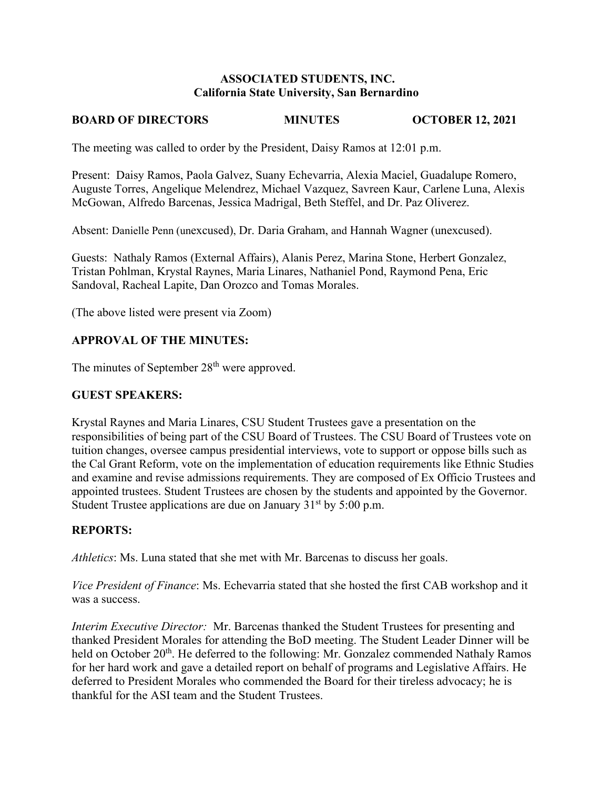### **ASSOCIATED STUDENTS, INC. California State University, San Bernardino**

# **BOARD OF DIRECTORS MINUTES OCTOBER 12, 2021**

The meeting was called to order by the President, Daisy Ramos at 12:01 p.m.

Present: Daisy Ramos, Paola Galvez, Suany Echevarria, Alexia Maciel, Guadalupe Romero, Auguste Torres, Angelique Melendrez, Michael Vazquez, Savreen Kaur, Carlene Luna, Alexis McGowan, Alfredo Barcenas, Jessica Madrigal, Beth Steffel, and Dr. Paz Oliverez.

Absent: Danielle Penn (unexcused), Dr. Daria Graham, and Hannah Wagner (unexcused).

Guests: Nathaly Ramos (External Affairs), Alanis Perez, Marina Stone, Herbert Gonzalez, Tristan Pohlman, Krystal Raynes, Maria Linares, Nathaniel Pond, Raymond Pena, Eric Sandoval, Racheal Lapite, Dan Orozco and Tomas Morales.

(The above listed were present via Zoom)

# **APPROVAL OF THE MINUTES:**

The minutes of September 28<sup>th</sup> were approved.

# **GUEST SPEAKERS:**

Krystal Raynes and Maria Linares, CSU Student Trustees gave a presentation on the responsibilities of being part of the CSU Board of Trustees. The CSU Board of Trustees vote on tuition changes, oversee campus presidential interviews, vote to support or oppose bills such as the Cal Grant Reform, vote on the implementation of education requirements like Ethnic Studies and examine and revise admissions requirements. They are composed of Ex Officio Trustees and appointed trustees. Student Trustees are chosen by the students and appointed by the Governor. Student Trustee applications are due on January  $31<sup>st</sup>$  by 5:00 p.m.

### **REPORTS:**

*Athletics*: Ms. Luna stated that she met with Mr. Barcenas to discuss her goals.

*Vice President of Finance*: Ms. Echevarria stated that she hosted the first CAB workshop and it was a success.

*Interim Executive Director:* Mr. Barcenas thanked the Student Trustees for presenting and thanked President Morales for attending the BoD meeting. The Student Leader Dinner will be held on October 20<sup>th</sup>. He deferred to the following: Mr. Gonzalez commended Nathaly Ramos for her hard work and gave a detailed report on behalf of programs and Legislative Affairs. He deferred to President Morales who commended the Board for their tireless advocacy; he is thankful for the ASI team and the Student Trustees.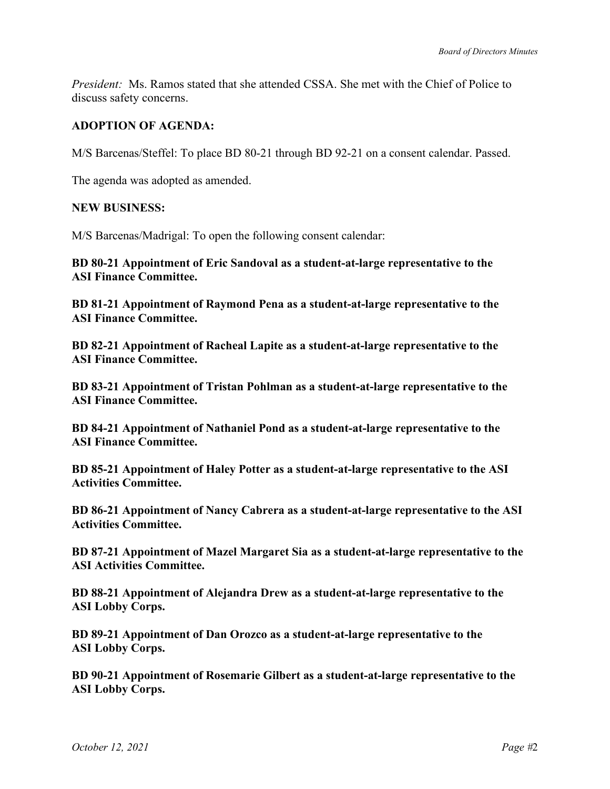*President:* Ms. Ramos stated that she attended CSSA. She met with the Chief of Police to discuss safety concerns.

# **ADOPTION OF AGENDA:**

M/S Barcenas/Steffel: To place BD 80-21 through BD 92-21 on a consent calendar. Passed.

The agenda was adopted as amended.

### **NEW BUSINESS:**

M/S Barcenas/Madrigal: To open the following consent calendar:

**BD 80-21 Appointment of Eric Sandoval as a student-at-large representative to the ASI Finance Committee.** 

**BD 81-21 Appointment of Raymond Pena as a student-at-large representative to the ASI Finance Committee.** 

**BD 82-21 Appointment of Racheal Lapite as a student-at-large representative to the ASI Finance Committee.** 

**BD 83-21 Appointment of Tristan Pohlman as a student-at-large representative to the ASI Finance Committee.**

**BD 84-21 Appointment of Nathaniel Pond as a student-at-large representative to the ASI Finance Committee.** 

**BD 85-21 Appointment of Haley Potter as a student-at-large representative to the ASI Activities Committee.** 

**BD 86-21 Appointment of Nancy Cabrera as a student-at-large representative to the ASI Activities Committee.** 

**BD 87-21 Appointment of Mazel Margaret Sia as a student-at-large representative to the ASI Activities Committee.** 

**BD 88-21 Appointment of Alejandra Drew as a student-at-large representative to the ASI Lobby Corps.** 

**BD 89-21 Appointment of Dan Orozco as a student-at-large representative to the ASI Lobby Corps.** 

**BD 90-21 Appointment of Rosemarie Gilbert as a student-at-large representative to the ASI Lobby Corps.**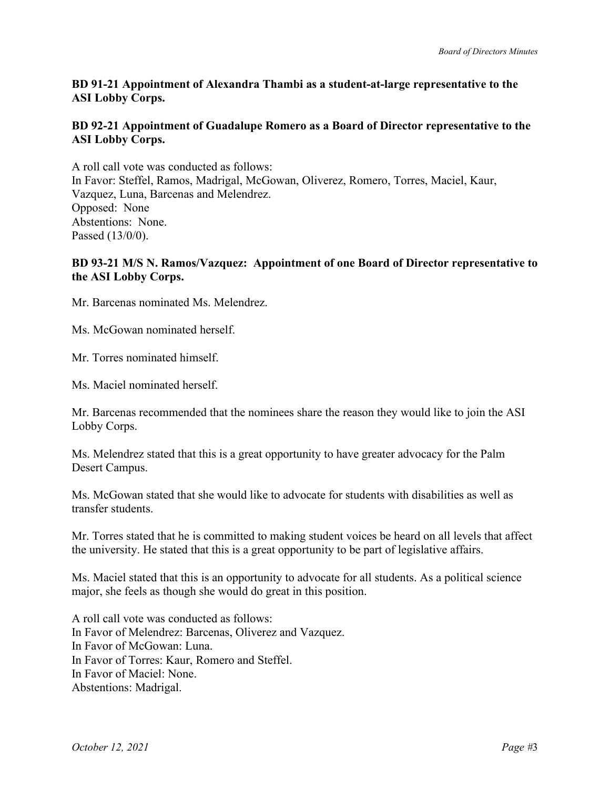# **BD 91-21 Appointment of Alexandra Thambi as a student-at-large representative to the ASI Lobby Corps.**

# **BD 92-21 Appointment of Guadalupe Romero as a Board of Director representative to the ASI Lobby Corps.**

A roll call vote was conducted as follows: In Favor: Steffel, Ramos, Madrigal, McGowan, Oliverez, Romero, Torres, Maciel, Kaur, Vazquez, Luna, Barcenas and Melendrez. Opposed: None Abstentions: None. Passed (13/0/0).

# **BD 93-21 M/S N. Ramos/Vazquez: Appointment of one Board of Director representative to the ASI Lobby Corps.**

Mr. Barcenas nominated Ms. Melendrez.

Ms. McGowan nominated herself.

Mr. Torres nominated himself.

Ms. Maciel nominated herself.

Mr. Barcenas recommended that the nominees share the reason they would like to join the ASI Lobby Corps.

Ms. Melendrez stated that this is a great opportunity to have greater advocacy for the Palm Desert Campus.

Ms. McGowan stated that she would like to advocate for students with disabilities as well as transfer students.

Mr. Torres stated that he is committed to making student voices be heard on all levels that affect the university. He stated that this is a great opportunity to be part of legislative affairs.

Ms. Maciel stated that this is an opportunity to advocate for all students. As a political science major, she feels as though she would do great in this position.

A roll call vote was conducted as follows: In Favor of Melendrez: Barcenas, Oliverez and Vazquez. In Favor of McGowan: Luna. In Favor of Torres: Kaur, Romero and Steffel. In Favor of Maciel: None. Abstentions: Madrigal.